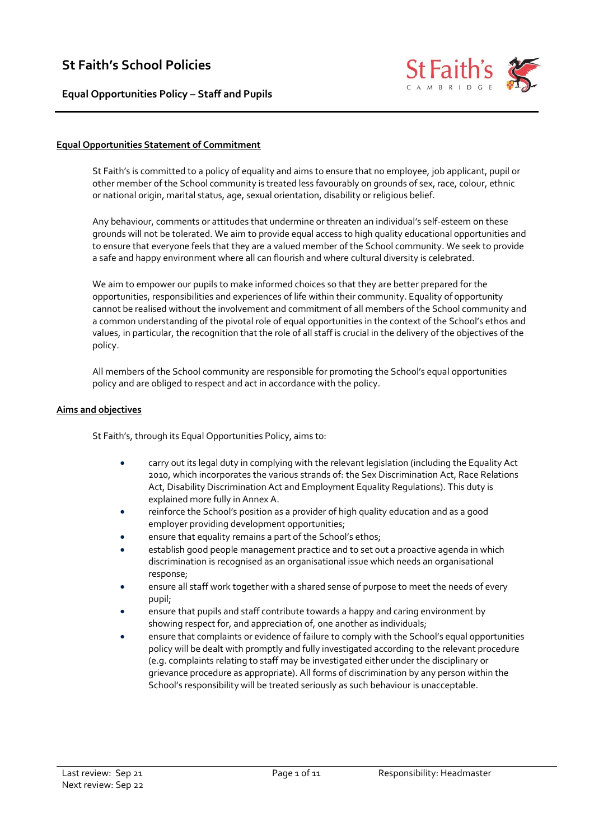# **St Faith's School Policies**

**Equal Opportunities Policy – Staff and Pupils**



#### **Equal Opportunities Statement of Commitment**

St Faith's is committed to a policy of equality and aims to ensure that no employee, job applicant, pupil or other member of the School community is treated less favourably on grounds of sex, race, colour, ethnic or national origin, marital status, age, sexual orientation, disability or religious belief.

Any behaviour, comments or attitudes that undermine or threaten an individual's self-esteem on these grounds will not be tolerated. We aim to provide equal access to high quality educational opportunities and to ensure that everyone feels that they are a valued member of the School community. We seek to provide a safe and happy environment where all can flourish and where cultural diversity is celebrated.

We aim to empower our pupils to make informed choices so that they are better prepared for the opportunities, responsibilities and experiences of life within their community. Equality of opportunity cannot be realised without the involvement and commitment of all members of the School community and a common understanding of the pivotal role of equal opportunities in the context of the School's ethos and values, in particular, the recognition that the role of all staff is crucial in the delivery of the objectives of the policy.

All members of the School community are responsible for promoting the School's equal opportunities policy and are obliged to respect and act in accordance with the policy.

#### **Aims and objectives**

St Faith's, through its Equal Opportunities Policy, aims to:

- carry out its legal duty in complying with the relevant legislation (including the Equality Act 2010, which incorporates the various strands of: the Sex Discrimination Act, Race Relations Act, Disability Discrimination Act and Employment Equality Regulations). This duty is explained more fully in Annex A.
- reinforce the School's position as a provider of high quality education and as a good employer providing development opportunities;
- ensure that equality remains a part of the School's ethos;
- establish good people management practice and to set out a proactive agenda in which discrimination is recognised as an organisational issue which needs an organisational response;
- ensure all staff work together with a shared sense of purpose to meet the needs of every pupil;
- ensure that pupils and staff contribute towards a happy and caring environment by showing respect for, and appreciation of, one another as individuals;
- ensure that complaints or evidence of failure to comply with the School's equal opportunities policy will be dealt with promptly and fully investigated according to the relevant procedure (e.g. complaints relating to staff may be investigated either under the disciplinary or grievance procedure as appropriate). All forms of discrimination by any person within the School's responsibility will be treated seriously as such behaviour is unacceptable.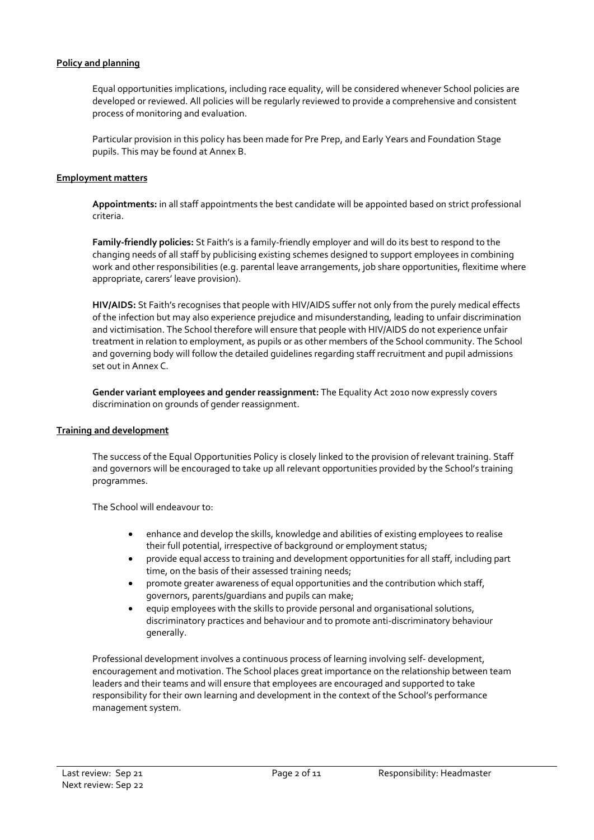#### **Policy and planning**

Equal opportunities implications, including race equality, will be considered whenever School policies are developed or reviewed. All policies will be regularly reviewed to provide a comprehensive and consistent process of monitoring and evaluation.

Particular provision in this policy has been made for Pre Prep, and Early Years and Foundation Stage pupils. This may be found at Annex B.

#### **Employment matters**

**Appointments:** in all staff appointments the best candidate will be appointed based on strict professional criteria.

**Family-friendly policies:** St Faith's is a family-friendly employer and will do its best to respond to the changing needs of all staff by publicising existing schemes designed to support employees in combining work and other responsibilities (e.g. parental leave arrangements, job share opportunities, flexitime where appropriate, carers' leave provision).

**HIV/AIDS:** St Faith's recognises that people with HIV/AIDS suffer not only from the purely medical effects of the infection but may also experience prejudice and misunderstanding, leading to unfair discrimination and victimisation. The School therefore will ensure that people with HIV/AIDS do not experience unfair treatment in relation to employment, as pupils or as other members of the School community. The School and governing body will follow the detailed guidelines regarding staff recruitment and pupil admissions set out in Annex C.

**Gender variant employees and gender reassignment:** The Equality Act 2010 now expressly covers discrimination on grounds of gender reassignment.

#### **Training and development**

The success of the Equal Opportunities Policy is closely linked to the provision of relevant training. Staff and governors will be encouraged to take up all relevant opportunities provided by the School's training programmes.

The School will endeavour to:

- enhance and develop the skills, knowledge and abilities of existing employees to realise their full potential, irrespective of background or employment status;
- provide equal access to training and development opportunities for all staff, including part time, on the basis of their assessed training needs;
- promote greater awareness of equal opportunities and the contribution which staff, governors, parents/guardians and pupils can make;
- equip employees with the skills to provide personal and organisational solutions, discriminatory practices and behaviour and to promote anti-discriminatory behaviour generally.

Professional development involves a continuous process of learning involving self- development, encouragement and motivation. The School places great importance on the relationship between team leaders and their teams and will ensure that employees are encouraged and supported to take responsibility for their own learning and development in the context of the School's performance management system.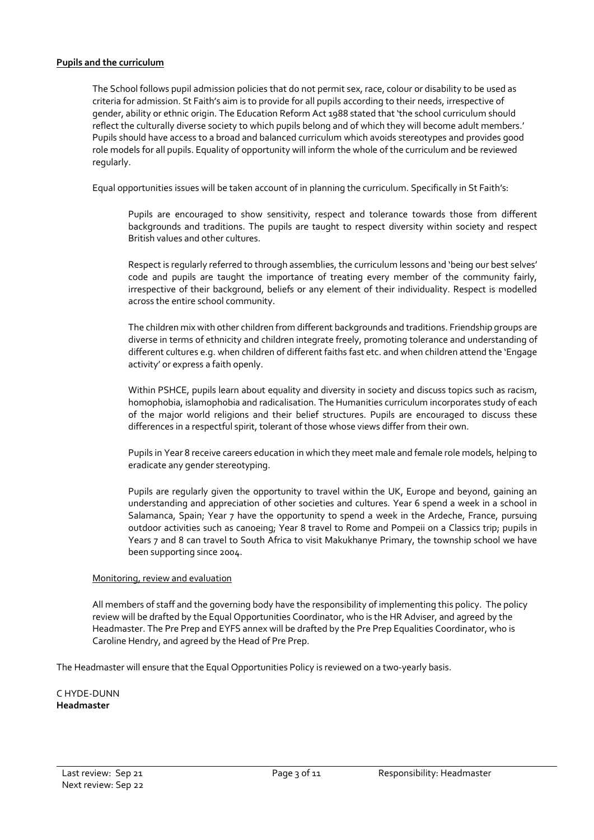#### **Pupils and the curriculum**

The School follows pupil admission policies that do not permit sex, race, colour or disability to be used as criteria for admission. St Faith's aim is to provide for all pupils according to their needs, irrespective of gender, ability or ethnic origin. The Education Reform Act 1988 stated that 'the school curriculum should reflect the culturally diverse society to which pupils belong and of which they will become adult members.' Pupils should have access to a broad and balanced curriculum which avoids stereotypes and provides good role models for all pupils. Equality of opportunity will inform the whole of the curriculum and be reviewed regularly.

Equal opportunities issues will be taken account of in planning the curriculum. Specifically in St Faith's:

Pupils are encouraged to show sensitivity, respect and tolerance towards those from different backgrounds and traditions. The pupils are taught to respect diversity within society and respect British values and other cultures.

Respect is regularly referred to through assemblies, the curriculum lessons and 'being our best selves' code and pupils are taught the importance of treating every member of the community fairly, irrespective of their background, beliefs or any element of their individuality. Respect is modelled across the entire school community.

The children mix with other children from different backgrounds and traditions. Friendship groups are diverse in terms of ethnicity and children integrate freely, promoting tolerance and understanding of different cultures e.g. when children of different faiths fast etc. and when children attend the 'Engage activity' or express a faith openly.

Within PSHCE, pupils learn about equality and diversity in society and discuss topics such as racism, homophobia, islamophobia and radicalisation. The Humanities curriculum incorporates study of each of the major world religions and their belief structures. Pupils are encouraged to discuss these differences in a respectful spirit, tolerant of those whose views differ from their own.

Pupils in Year 8 receive careers education in which they meet male and female role models, helping to eradicate any gender stereotyping.

Pupils are regularly given the opportunity to travel within the UK, Europe and beyond, gaining an understanding and appreciation of other societies and cultures. Year 6 spend a week in a school in Salamanca, Spain; Year 7 have the opportunity to spend a week in the Ardeche, France, pursuing outdoor activities such as canoeing; Year 8 travel to Rome and Pompeii on a Classics trip; pupils in Years 7 and 8 can travel to South Africa to visit Makukhanye Primary, the township school we have been supporting since 2004.

#### Monitoring, review and evaluation

All members of staff and the governing body have the responsibility of implementing this policy. The policy review will be drafted by the Equal Opportunities Coordinator, who is the HR Adviser, and agreed by the Headmaster. The Pre Prep and EYFS annex will be drafted by the Pre Prep Equalities Coordinator, who is Caroline Hendry, and agreed by the Head of Pre Prep.

The Headmaster will ensure that the Equal Opportunities Policy is reviewed on a two-yearly basis.

C HYDE-DUNN **Headmaster**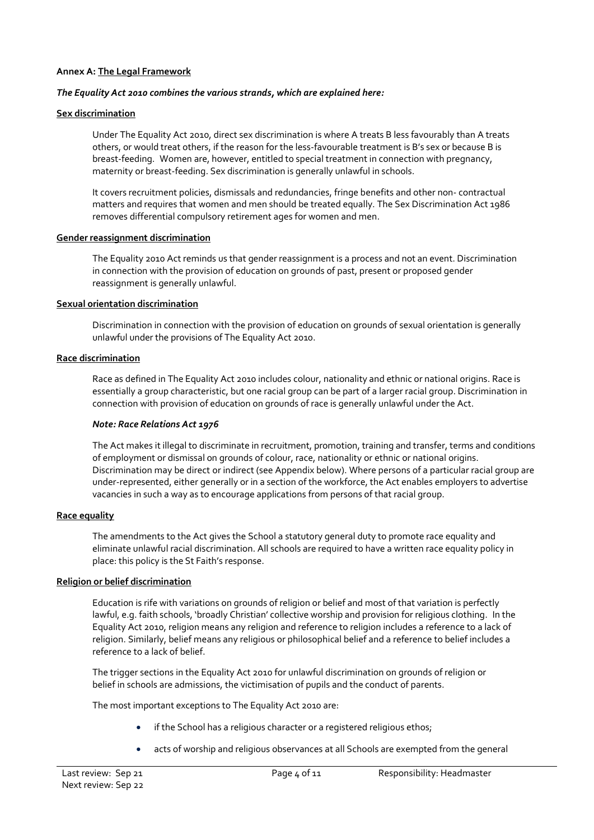#### **Annex A: The Legal Framework**

#### *The Equality Act 2010 combines the various strands, which are explained here:*

#### **Sex discrimination**

Under The Equality Act 2010, direct sex discrimination is where A treats B less favourably than A treats others, or would treat others, if the reason for the less-favourable treatment is B's sex or because B is breast-feeding. Women are, however, entitled to special treatment in connection with pregnancy, maternity or breast-feeding. Sex discrimination is generally unlawful in schools.

It covers recruitment policies, dismissals and redundancies, fringe benefits and other non- contractual matters and requires that women and men should be treated equally. The Sex Discrimination Act 1986 removes differential compulsory retirement ages for women and men.

#### **Gender reassignment discrimination**

The Equality 2010 Act reminds us that gender reassignment is a process and not an event. Discrimination in connection with the provision of education on grounds of past, present or proposed gender reassignment is generally unlawful.

#### **Sexual orientation discrimination**

Discrimination in connection with the provision of education on grounds of sexual orientation is generally unlawful under the provisions of The Equality Act 2010.

#### **Race discrimination**

Race as defined in The Equality Act 2010 includes colour, nationality and ethnic or national origins. Race is essentially a group characteristic, but one racial group can be part of a larger racial group. Discrimination in connection with provision of education on grounds of race is generally unlawful under the Act.

#### *Note: Race Relations Act 1976*

The Act makes it illegal to discriminate in recruitment, promotion, training and transfer, terms and conditions of employment or dismissal on grounds of colour, race, nationality or ethnic or national origins. Discrimination may be direct or indirect (see Appendix below). Where persons of a particular racial group are under-represented, either generally or in a section of the workforce, the Act enables employers to advertise vacancies in such a way as to encourage applications from persons of that racial group.

### **Race equality**

The amendments to the Act gives the School a statutory general duty to promote race equality and eliminate unlawful racial discrimination. All schools are required to have a written race equality policy in place: this policy is the St Faith's response.

### **Religion or belief discrimination**

Education is rife with variations on grounds of religion or belief and most of that variation is perfectly lawful, e.g. faith schools, 'broadly Christian' collective worship and provision for religious clothing. In the Equality Act 2010, religion means any religion and reference to religion includes a reference to a lack of religion. Similarly, belief means any religious or philosophical belief and a reference to belief includes a reference to a lack of belief.

The trigger sections in the Equality Act 2010 for unlawful discrimination on grounds of religion or belief in schools are admissions, the victimisation of pupils and the conduct of parents.

The most important exceptions to The Equality Act 2010 are:

- if the School has a religious character or a registered religious ethos;
- acts of worship and religious observances at all Schools are exempted from the general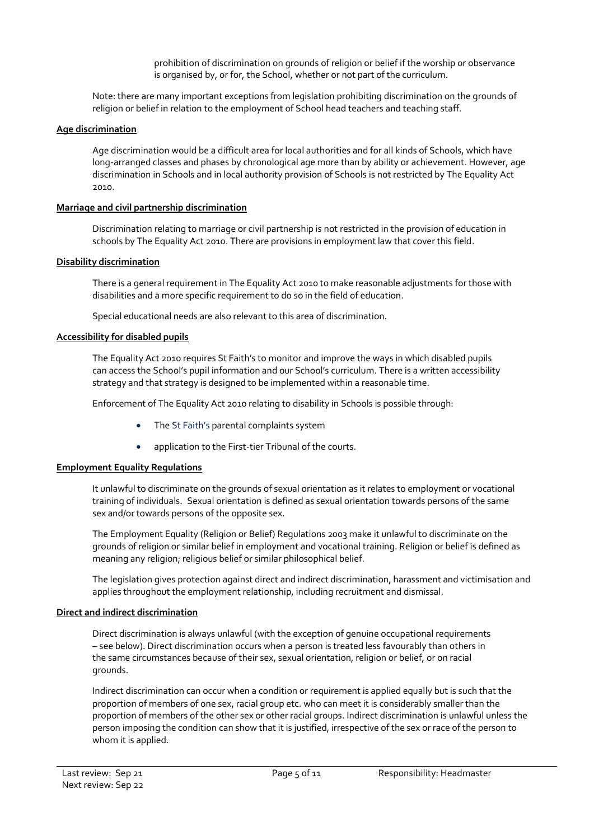prohibition of discrimination on grounds of religion or belief if the worship or observance is organised by, or for, the School, whether or not part of the curriculum.

Note: there are many important exceptions from legislation prohibiting discrimination on the grounds of religion or belief in relation to the employment of School head teachers and teaching staff.

# **Age discrimination**

Age discrimination would be a difficult area for local authorities and for all kinds of Schools, which have long-arranged classes and phases by chronological age more than by ability or achievement. However, age discrimination in Schools and in local authority provision of Schools is not restricted by The Equality Act 2010.

# **Marriage and civil partnership discrimination**

Discrimination relating to marriage or civil partnership is not restricted in the provision of education in schools by The Equality Act 2010. There are provisions in employment law that cover this field.

### **Disability discrimination**

There is a general requirement in The Equality Act 2010 to make reasonable adjustments for those with disabilities and a more specific requirement to do so in the field of education.

Special educational needs are also relevant to this area of discrimination.

### **Accessibility for disabled pupils**

The Equality Act 2010 requires St Faith's to monitor and improve the ways in which disabled pupils can access the School's pupil information and our School's curriculum. There is a written accessibility strategy and that strategy is designed to be implemented within a reasonable time.

Enforcement of The Equality Act 2010 relating to disability in Schools is possible through:

- The St Faith's parental complaints system
- application to the First-tier Tribunal of the courts.

# **Employment Equality Regulations**

It unlawful to discriminate on the grounds of sexual orientation as it relates to employment or vocational training of individuals. Sexual orientation is defined as sexual orientation towards persons of the same sex and/or towards persons of the opposite sex.

The Employment Equality (Religion or Belief) Regulations 2003 make it unlawful to discriminate on the grounds of religion or similar belief in employment and vocational training. Religion or belief is defined as meaning any religion; religious belief or similar philosophical belief.

The legislation gives protection against direct and indirect discrimination, harassment and victimisation and applies throughout the employment relationship, including recruitment and dismissal.

# **Direct and indirect discrimination**

Direct discrimination is always unlawful (with the exception of genuine occupational requirements – see below). Direct discrimination occurs when a person is treated less favourably than others in the same circumstances because of their sex, sexual orientation, religion or belief, or on racial grounds.

Indirect discrimination can occur when a condition or requirement is applied equally but is such that the proportion of members of one sex, racial group etc. who can meet it is considerably smaller than the proportion of members of the other sex or other racial groups. Indirect discrimination is unlawful unless the person imposing the condition can show that it is justified, irrespective of the sex or race of the person to whom it is applied.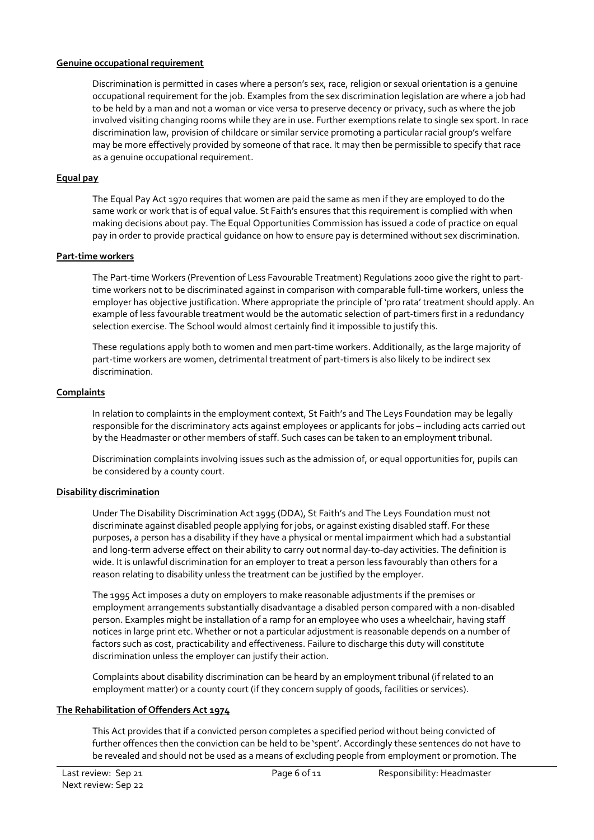#### **Genuine occupational requirement**

Discrimination is permitted in cases where a person's sex, race, religion or sexual orientation is a genuine occupational requirement for the job. Examples from the sex discrimination legislation are where a job had to be held by a man and not a woman or vice versa to preserve decency or privacy, such as where the job involved visiting changing rooms while they are in use. Further exemptions relate to single sex sport. In race discrimination law, provision of childcare or similar service promoting a particular racial group's welfare may be more effectively provided by someone of that race. It may then be permissible to specify that race as a genuine occupational requirement.

# **Equal pay**

The Equal Pay Act 1970 requires that women are paid the same as men if they are employed to do the same work or work that is of equal value. St Faith's ensures that this requirement is complied with when making decisions about pay. The Equal Opportunities Commission has issued a code of practice on equal pay in order to provide practical guidance on how to ensure pay is determined without sex discrimination.

### **Part-time workers**

The Part-time Workers (Prevention of Less Favourable Treatment) Regulations 2000 give the right to parttime workers not to be discriminated against in comparison with comparable full-time workers, unless the employer has objective justification. Where appropriate the principle of 'pro rata' treatment should apply. An example of less favourable treatment would be the automatic selection of part-timers first in a redundancy selection exercise. The School would almost certainly find it impossible to justify this.

These regulations apply both to women and men part-time workers. Additionally, as the large majority of part-time workers are women, detrimental treatment of part-timers is also likely to be indirect sex discrimination.

# **Complaints**

In relation to complaints in the employment context, St Faith's and The Leys Foundation may be legally responsible for the discriminatory acts against employees or applicants for jobs – including acts carried out by the Headmaster or other members of staff. Such cases can be taken to an employment tribunal.

Discrimination complaints involving issues such as the admission of, or equal opportunities for, pupils can be considered by a county court.

# **Disability discrimination**

Under The Disability Discrimination Act 1995 (DDA), St Faith's and The Leys Foundation must not discriminate against disabled people applying for jobs, or against existing disabled staff. For these purposes, a person has a disability if they have a physical or mental impairment which had a substantial and long-term adverse effect on their ability to carry out normal day-to-day activities. The definition is wide. It is unlawful discrimination for an employer to treat a person less favourably than others for a reason relating to disability unless the treatment can be justified by the employer.

The 1995 Act imposes a duty on employers to make reasonable adjustments if the premises or employment arrangements substantially disadvantage a disabled person compared with a non-disabled person. Examples might be installation of a ramp for an employee who uses a wheelchair, having staff notices in large print etc. Whether or not a particular adjustment is reasonable depends on a number of factors such as cost, practicability and effectiveness. Failure to discharge this duty will constitute discrimination unless the employer can justify their action.

Complaints about disability discrimination can be heard by an employment tribunal (if related to an employment matter) or a county court (if they concern supply of goods, facilities or services).

### **The Rehabilitation of Offenders Act 1974**

This Act provides that if a convicted person completes a specified period without being convicted of further offences then the conviction can be held to be 'spent'. Accordingly these sentences do not have to be revealed and should not be used as a means of excluding people from employment or promotion. The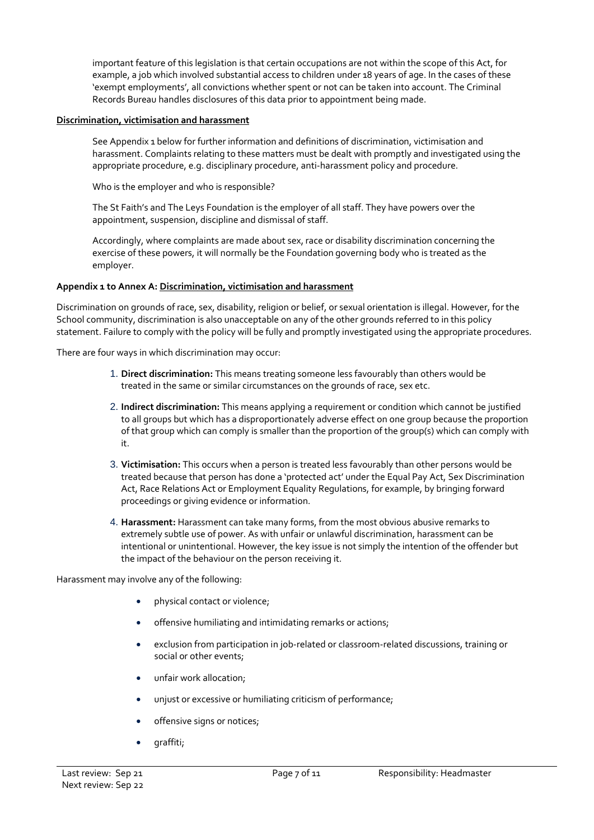important feature of this legislation is that certain occupations are not within the scope of this Act, for example, a job which involved substantial access to children under 18 years of age. In the cases of these 'exempt employments', all convictions whether spent or not can be taken into account. The Criminal Records Bureau handles disclosures of this data prior to appointment being made.

## **Discrimination, victimisation and harassment**

See Appendix 1 below for further information and definitions of discrimination, victimisation and harassment. Complaints relating to these matters must be dealt with promptly and investigated using the appropriate procedure, e.g. disciplinary procedure, anti-harassment policy and procedure.

Who is the employer and who is responsible?

The St Faith's and The Leys Foundation is the employer of all staff. They have powers over the appointment, suspension, discipline and dismissal of staff.

Accordingly, where complaints are made about sex, race or disability discrimination concerning the exercise of these powers, it will normally be the Foundation governing body who is treated as the employer.

# **Appendix 1 to Annex A: Discrimination, victimisation and harassment**

Discrimination on grounds of race, sex, disability, religion or belief, or sexual orientation is illegal. However, for the School community, discrimination is also unacceptable on any of the other grounds referred to in this policy statement. Failure to comply with the policy will be fully and promptly investigated using the appropriate procedures.

There are four ways in which discrimination may occur:

- 1. **Direct discrimination:** This means treating someone less favourably than others would be treated in the same or similar circumstances on the grounds of race, sex etc.
- 2. **Indirect discrimination:** This means applying a requirement or condition which cannot be justified to all groups but which has a disproportionately adverse effect on one group because the proportion of that group which can comply is smaller than the proportion of the group(s) which can comply with it.
- 3. **Victimisation:** This occurs when a person is treated less favourably than other persons would be treated because that person has done a 'protected act' under the Equal Pay Act, Sex Discrimination Act, Race Relations Act or Employment Equality Regulations, for example, by bringing forward proceedings or giving evidence or information.
- 4. **Harassment:** Harassment can take many forms, from the most obvious abusive remarks to extremely subtle use of power. As with unfair or unlawful discrimination, harassment can be intentional or unintentional. However, the key issue is not simply the intention of the offender but the impact of the behaviour on the person receiving it.

Harassment may involve any of the following:

- physical contact or violence;
- offensive humiliating and intimidating remarks or actions;
- exclusion from participation in job-related or classroom-related discussions, training or social or other events;
- unfair work allocation;
- unjust or excessive or humiliating criticism of performance;
- offensive signs or notices;
- graffiti;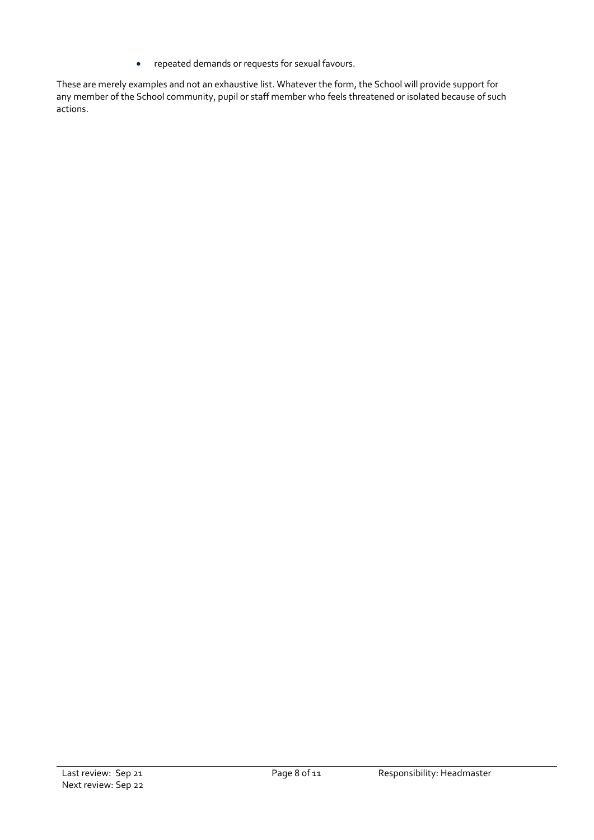• repeated demands or requests for sexual favours.

These are merely examples and not an exhaustive list. Whatever the form, the School will provide support for any member of the School community, pupil or staff member who feels threatened or isolated because of such actions.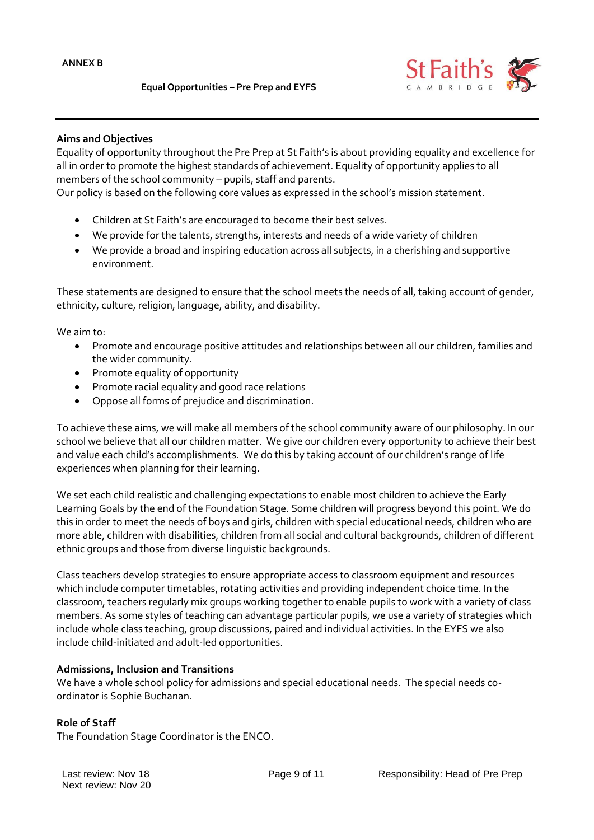

# **Aims and Objectives**

Equality of opportunity throughout the Pre Prep at St Faith's is about providing equality and excellence for all in order to promote the highest standards of achievement. Equality of opportunity applies to all members of the school community – pupils, staff and parents.

Our policy is based on the following core values as expressed in the school's mission statement.

- Children at St Faith's are encouraged to become their best selves.
- We provide for the talents, strengths, interests and needs of a wide variety of children
- We provide a broad and inspiring education across all subjects, in a cherishing and supportive environment.

These statements are designed to ensure that the school meets the needs of all, taking account of gender, ethnicity, culture, religion, language, ability, and disability.

We aim to:

- Promote and encourage positive attitudes and relationships between all our children, families and the wider community.
- Promote equality of opportunity
- Promote racial equality and good race relations
- Oppose all forms of prejudice and discrimination.

To achieve these aims, we will make all members of the school community aware of our philosophy. In our school we believe that all our children matter. We give our children every opportunity to achieve their best and value each child's accomplishments. We do this by taking account of our children's range of life experiences when planning for their learning.

We set each child realistic and challenging expectations to enable most children to achieve the Early Learning Goals by the end of the Foundation Stage. Some children will progress beyond this point. We do this in order to meet the needs of boys and girls, children with special educational needs, children who are more able, children with disabilities, children from all social and cultural backgrounds, children of different ethnic groups and those from diverse linguistic backgrounds.

Class teachers develop strategies to ensure appropriate access to classroom equipment and resources which include computer timetables, rotating activities and providing independent choice time. In the classroom, teachers regularly mix groups working together to enable pupils to work with a variety of class members. As some styles of teaching can advantage particular pupils, we use a variety of strategies which include whole class teaching, group discussions, paired and individual activities. In the EYFS we also include child-initiated and adult-led opportunities.

### **Admissions, Inclusion and Transitions**

We have a whole school policy for admissions and special educational needs. The special needs coordinator is Sophie Buchanan.

### **Role of Staff**

The Foundation Stage Coordinator is the ENCO.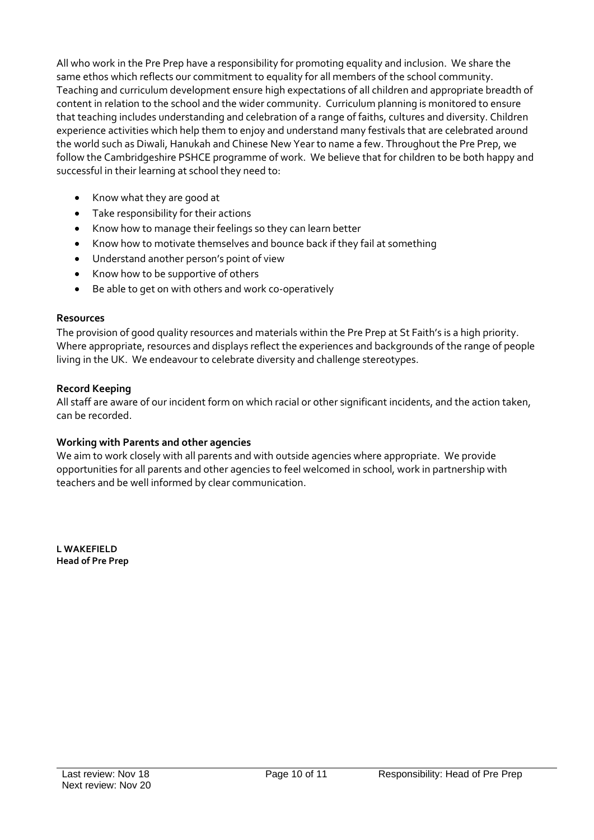All who work in the Pre Prep have a responsibility for promoting equality and inclusion. We share the same ethos which reflects our commitment to equality for all members of the school community. Teaching and curriculum development ensure high expectations of all children and appropriate breadth of content in relation to the school and the wider community. Curriculum planning is monitored to ensure that teaching includes understanding and celebration of a range of faiths, cultures and diversity. Children experience activities which help them to enjoy and understand many festivals that are celebrated around the world such as Diwali, Hanukah and Chinese New Year to name a few. Throughout the Pre Prep, we follow the Cambridgeshire PSHCE programme of work. We believe that for children to be both happy and successful in their learning at school they need to:

- Know what they are good at
- Take responsibility for their actions
- Know how to manage their feelings so they can learn better
- Know how to motivate themselves and bounce back if they fail at something
- Understand another person's point of view
- Know how to be supportive of others
- Be able to get on with others and work co-operatively

# **Resources**

The provision of good quality resources and materials within the Pre Prep at St Faith's is a high priority. Where appropriate, resources and displays reflect the experiences and backgrounds of the range of people living in the UK. We endeavour to celebrate diversity and challenge stereotypes.

# **Record Keeping**

All staff are aware of our incident form on which racial or other significant incidents, and the action taken, can be recorded.

# **Working with Parents and other agencies**

We aim to work closely with all parents and with outside agencies where appropriate. We provide opportunities for all parents and other agencies to feel welcomed in school, work in partnership with teachers and be well informed by clear communication.

**L WAKEFIELD Head of Pre Prep**